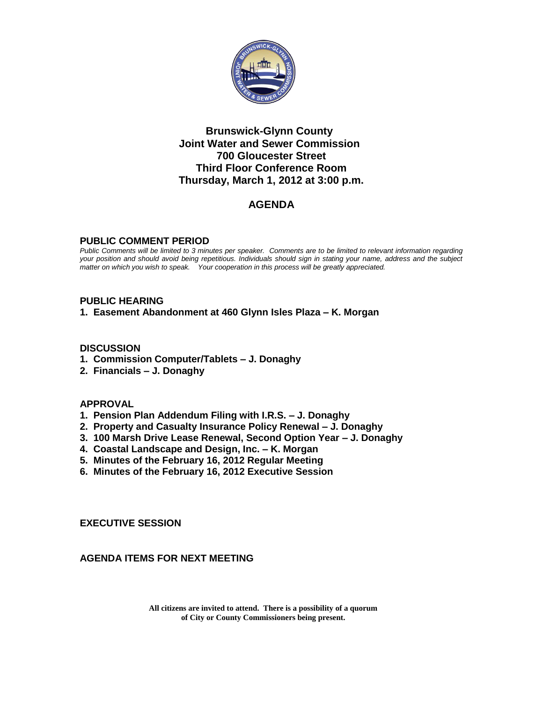

#### **Brunswick-Glynn County Joint Water and Sewer Commission 700 Gloucester Street Third Floor Conference Room Thursday, March 1, 2012 at 3:00 p.m.**

# **AGENDA**

#### **PUBLIC COMMENT PERIOD**

*Public Comments will be limited to 3 minutes per speaker. Comments are to be limited to relevant information regarding your position and should avoid being repetitious. Individuals should sign in stating your name, address and the subject matter on which you wish to speak. Your cooperation in this process will be greatly appreciated.*

#### **PUBLIC HEARING**

**1. Easement Abandonment at 460 Glynn Isles Plaza – K. Morgan**

#### **DISCUSSION**

- **1. Commission Computer/Tablets – J. Donaghy**
- **2. Financials – J. Donaghy**

#### **APPROVAL**

- **1. Pension Plan Addendum Filing with I.R.S. – J. Donaghy**
- **2. Property and Casualty Insurance Policy Renewal – J. Donaghy**
- **3. 100 Marsh Drive Lease Renewal, Second Option Year – J. Donaghy**
- **4. Coastal Landscape and Design, Inc. – K. Morgan**
- **5. Minutes of the February 16, 2012 Regular Meeting**
- **6. Minutes of the February 16, 2012 Executive Session**

**EXECUTIVE SESSION**

**AGENDA ITEMS FOR NEXT MEETING**

**All citizens are invited to attend. There is a possibility of a quorum of City or County Commissioners being present.**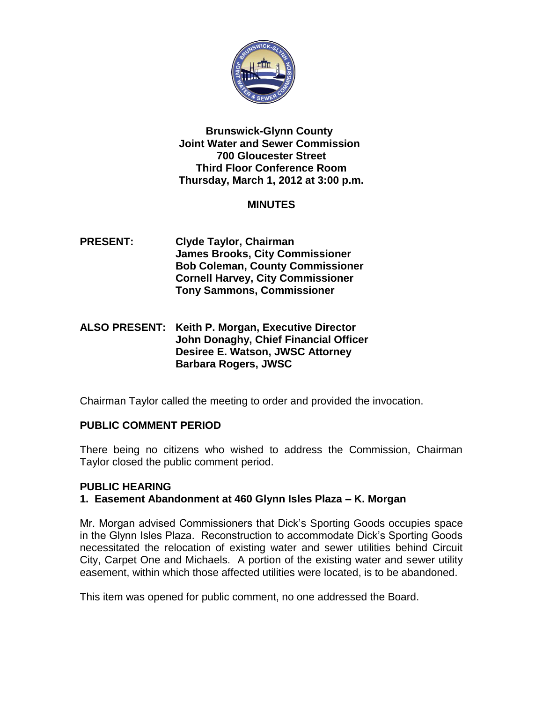

#### **Brunswick-Glynn County Joint Water and Sewer Commission 700 Gloucester Street Third Floor Conference Room Thursday, March 1, 2012 at 3:00 p.m.**

# **MINUTES**

- **PRESENT: Clyde Taylor, Chairman James Brooks, City Commissioner Bob Coleman, County Commissioner Cornell Harvey, City Commissioner Tony Sammons, Commissioner**
- **ALSO PRESENT: Keith P. Morgan, Executive Director John Donaghy, Chief Financial Officer Desiree E. Watson, JWSC Attorney Barbara Rogers, JWSC**

Chairman Taylor called the meeting to order and provided the invocation.

# **PUBLIC COMMENT PERIOD**

There being no citizens who wished to address the Commission, Chairman Taylor closed the public comment period.

## **PUBLIC HEARING**

## **1. Easement Abandonment at 460 Glynn Isles Plaza – K. Morgan**

Mr. Morgan advised Commissioners that Dick's Sporting Goods occupies space in the Glynn Isles Plaza. Reconstruction to accommodate Dick's Sporting Goods necessitated the relocation of existing water and sewer utilities behind Circuit City, Carpet One and Michaels. A portion of the existing water and sewer utility easement, within which those affected utilities were located, is to be abandoned.

This item was opened for public comment, no one addressed the Board.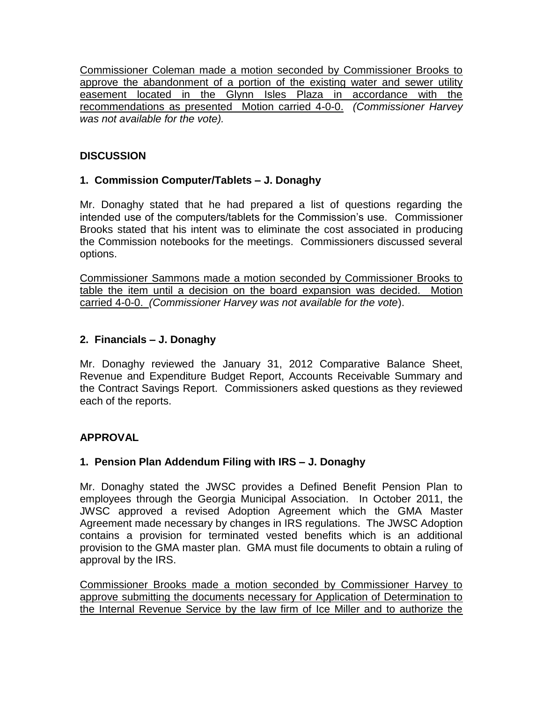Commissioner Coleman made a motion seconded by Commissioner Brooks to approve the abandonment of a portion of the existing water and sewer utility easement located in the Glynn Isles Plaza in accordance with the recommendations as presented Motion carried 4-0-0. *(Commissioner Harvey was not available for the vote).*

## **DISCUSSION**

# **1. Commission Computer/Tablets – J. Donaghy**

Mr. Donaghy stated that he had prepared a list of questions regarding the intended use of the computers/tablets for the Commission's use. Commissioner Brooks stated that his intent was to eliminate the cost associated in producing the Commission notebooks for the meetings. Commissioners discussed several options.

Commissioner Sammons made a motion seconded by Commissioner Brooks to table the item until a decision on the board expansion was decided. Motion carried 4-0-0. *(Commissioner Harvey was not available for the vote*).

# **2. Financials – J. Donaghy**

Mr. Donaghy reviewed the January 31, 2012 Comparative Balance Sheet, Revenue and Expenditure Budget Report, Accounts Receivable Summary and the Contract Savings Report. Commissioners asked questions as they reviewed each of the reports.

## **APPROVAL**

## **1. Pension Plan Addendum Filing with IRS – J. Donaghy**

Mr. Donaghy stated the JWSC provides a Defined Benefit Pension Plan to employees through the Georgia Municipal Association. In October 2011, the JWSC approved a revised Adoption Agreement which the GMA Master Agreement made necessary by changes in IRS regulations. The JWSC Adoption contains a provision for terminated vested benefits which is an additional provision to the GMA master plan. GMA must file documents to obtain a ruling of approval by the IRS.

Commissioner Brooks made a motion seconded by Commissioner Harvey to approve submitting the documents necessary for Application of Determination to the Internal Revenue Service by the law firm of Ice Miller and to authorize the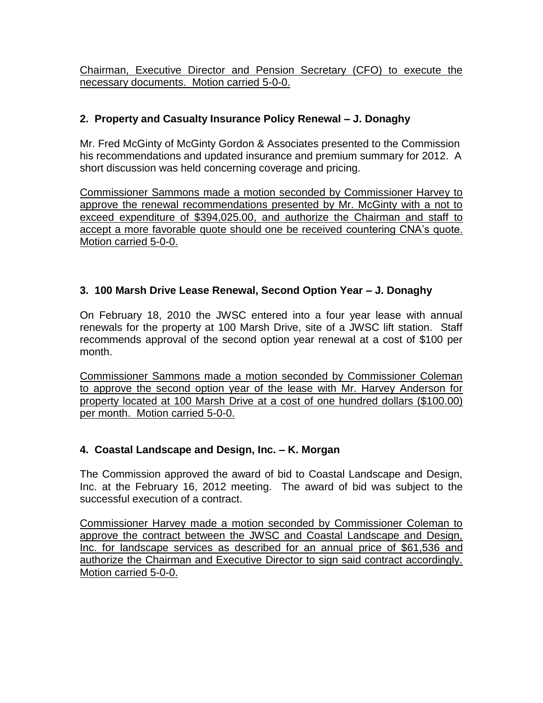Chairman, Executive Director and Pension Secretary (CFO) to execute the necessary documents. Motion carried 5-0-0.

# **2. Property and Casualty Insurance Policy Renewal – J. Donaghy**

Mr. Fred McGinty of McGinty Gordon & Associates presented to the Commission his recommendations and updated insurance and premium summary for 2012. A short discussion was held concerning coverage and pricing.

Commissioner Sammons made a motion seconded by Commissioner Harvey to approve the renewal recommendations presented by Mr. McGinty with a not to exceed expenditure of \$394,025.00, and authorize the Chairman and staff to accept a more favorable quote should one be received countering CNA's quote. Motion carried 5-0-0.

## **3. 100 Marsh Drive Lease Renewal, Second Option Year – J. Donaghy**

On February 18, 2010 the JWSC entered into a four year lease with annual renewals for the property at 100 Marsh Drive, site of a JWSC lift station. Staff recommends approval of the second option year renewal at a cost of \$100 per month.

Commissioner Sammons made a motion seconded by Commissioner Coleman to approve the second option year of the lease with Mr. Harvey Anderson for property located at 100 Marsh Drive at a cost of one hundred dollars (\$100.00) per month. Motion carried 5-0-0.

## **4. Coastal Landscape and Design, Inc. – K. Morgan**

The Commission approved the award of bid to Coastal Landscape and Design, Inc. at the February 16, 2012 meeting. The award of bid was subject to the successful execution of a contract.

Commissioner Harvey made a motion seconded by Commissioner Coleman to approve the contract between the JWSC and Coastal Landscape and Design, Inc. for landscape services as described for an annual price of \$61,536 and authorize the Chairman and Executive Director to sign said contract accordingly. Motion carried 5-0-0.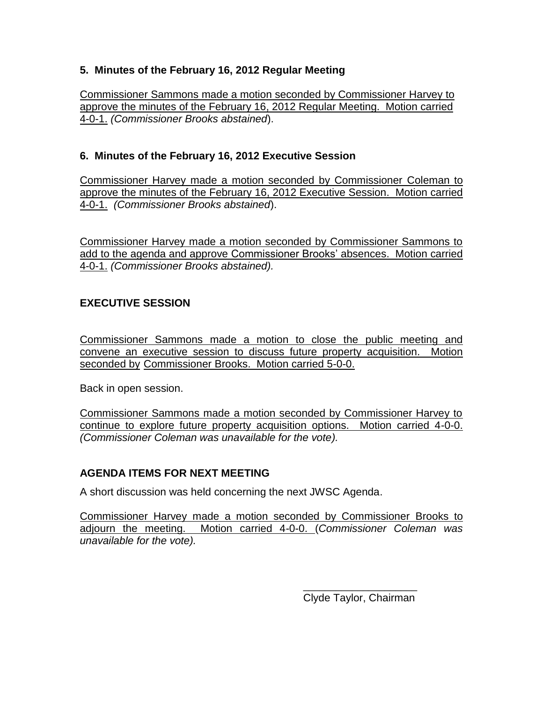### **5. Minutes of the February 16, 2012 Regular Meeting**

Commissioner Sammons made a motion seconded by Commissioner Harvey to approve the minutes of the February 16, 2012 Regular Meeting. Motion carried 4-0-1. *(Commissioner Brooks abstained*).

## **6. Minutes of the February 16, 2012 Executive Session**

Commissioner Harvey made a motion seconded by Commissioner Coleman to approve the minutes of the February 16, 2012 Executive Session. Motion carried 4-0-1. *(Commissioner Brooks abstained*).

Commissioner Harvey made a motion seconded by Commissioner Sammons to add to the agenda and approve Commissioner Brooks' absences. Motion carried 4-0-1. *(Commissioner Brooks abstained).*

## **EXECUTIVE SESSION**

Commissioner Sammons made a motion to close the public meeting and convene an executive session to discuss future property acquisition. Motion seconded by Commissioner Brooks. Motion carried 5-0-0.

Back in open session.

Commissioner Sammons made a motion seconded by Commissioner Harvey to continue to explore future property acquisition options. Motion carried 4-0-0. *(Commissioner Coleman was unavailable for the vote).*

## **AGENDA ITEMS FOR NEXT MEETING**

A short discussion was held concerning the next JWSC Agenda.

Commissioner Harvey made a motion seconded by Commissioner Brooks to adjourn the meeting. Motion carried 4-0-0. (*Commissioner Coleman was unavailable for the vote).*

> \_\_\_\_\_\_\_\_\_\_\_\_\_\_\_\_\_\_\_\_\_ Clyde Taylor, Chairman